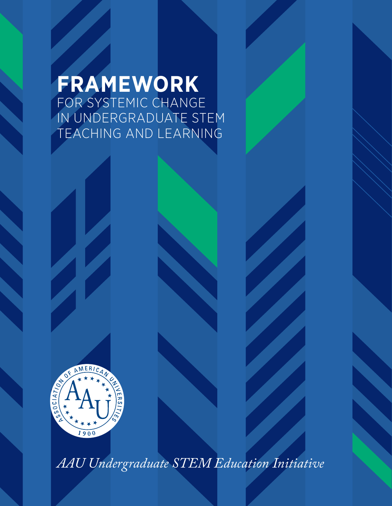### **FRAMEWORK** FOR SYSTEMIC CHANGE IN UNDERGRADUATE STEM TEACHING AND LEARNING



*AAU Undergraduate STEM Education Initiative*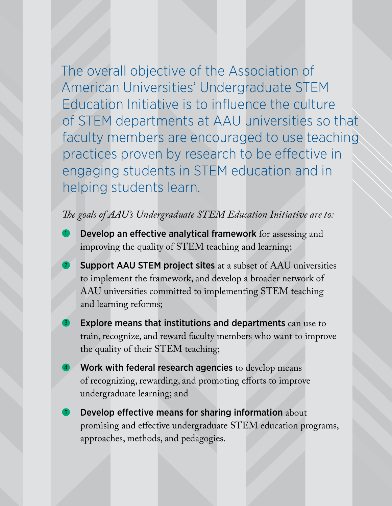The overall objective of the Association of American Universities' Undergraduate STEM Education Initiative is to influence the culture of STEM departments at AAU universities so that faculty members are encouraged to use teaching practices proven by research to be effective in engaging students in STEM education and in helping students learn.

### *The goals of AAU's Undergraduate STEM Education Initiative are to:*

- Develop an effective analytical framework for assessing and improving the quality of STEM teaching and learning;
- Support AAU STEM project sites at a subset of AAU universities to implement the framework, and develop a broader network of AAU universities committed to implementing STEM teaching and learning reforms;
- Explore means that institutions and departments can use to train, recognize, and reward faculty members who want to improve the quality of their STEM teaching;
- Work with federal research agencies to develop means of recognizing, rewarding, and promoting efforts to improve undergraduate learning; and
- Develop effective means for sharing information about promising and effective undergraduate STEM education programs, approaches, methods, and pedagogies.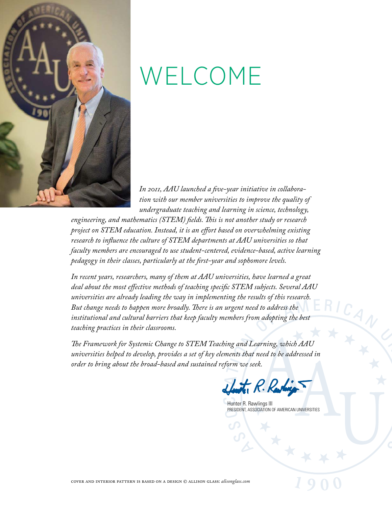

### WELCOME

*In 2011, AAU launched a five-year initiative in collaboration with our member universities to improve the quality of undergraduate teaching and learning in science, technology,* 

*engineering, and mathematics (STEM) fields. This is not another study or research project on STEM education. Instead, it is an effort based on overwhelming existing research to influence the culture of STEM departments at AAU universities so that faculty members are encouraged to use student-centered, evidence-based, active learning pedagogy in their classes, particularly at the first-year and sophomore levels.*

*In recent years, researchers, many of them at AAU universities, have learned a great deal about the most effective methods of teaching specific STEM subjects. Several AAU universities are already leading the way in implementing the results of this research. But change needs to happen more broadly. There is an urgent need to address the*  institutional and cultural barriers that keep faculty members from adopting the best *teaching practices in their classrooms.* 

*The Framework for Systemic Change to STEM Teaching and Learning, which AAU universities helped to develop, provides a set of key elements that need to be addressed in order to bring about the broad-based and sustained reform we seek.* 



Hunter R. Rawlings III PRESIDENT, ASSOCIATION OF AMERICAN UNIVERSITIES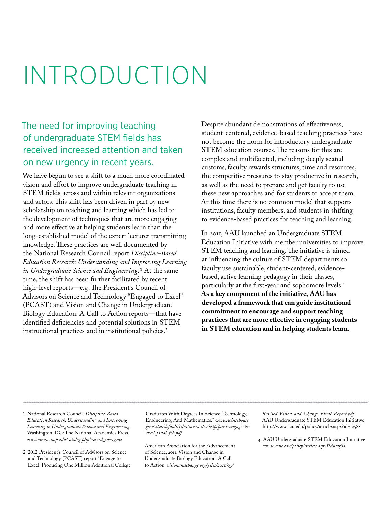## INTRODUCTION

### The need for improving teaching of undergraduate STEM fields has received increased attention and taken on new urgency in recent years.

We have begun to see a shift to a much more coordinated vision and effort to improve undergraduate teaching in STEM fields across and within relevant organizations and actors. This shift has been driven in part by new scholarship on teaching and learning which has led to the development of techniques that are more engaging and more effective at helping students learn than the long-established model of the expert lecturer transmitting knowledge. These practices are well documented by the National Research Council report *Discipline-Based Education Research: Understanding and Improving Learning in Undergraduate Science and Engineering.*1 At the same time, the shift has been further facilitated by recent high-level reports—e.g. The President's Council of Advisors on Science and Technology "Engaged to Excel" (PCAST) and Vision and Change in Undergraduate Biology Education: A Call to Action reports—that have identified deficiencies and potential solutions in STEM instructional practices and in institutional policies.2

Despite abundant demonstrations of effectiveness, student-centered, evidence-based teaching practices have not become the norm for introductory undergraduate STEM education courses. The reasons for this are complex and multifaceted, including deeply seated customs, faculty rewards structures, time and resources, the competitive pressures to stay productive in research, as well as the need to prepare and get faculty to use these new approaches and for students to accept them. At this time there is no common model that supports institutions, faculty members, and students in shifting to evidence-based practices for teaching and learning.

In 2011, AAU launched an Undergraduate STEM Education Initiative with member universities to improve STEM teaching and learning. The initiative is aimed at influencing the culture of STEM departments so faculty use sustainable, student-centered, evidencebased, active learning pedagogy in their classes, particularly at the first-year and sophomore levels.4 **As a key component of the initiative, AAU has developed a framework that can guide institutional commitment to encourage and support teaching practices that are more effective in engaging students in STEM education and in helping students learn.** 

1 National Research Council. *Discipline-Based Education Research: Understanding and Improving Learning in Undergraduate Science and Engineering*. Washington, DC: The National Academies Press, 2012. *www.nap.edu/catalog.php?record\_id=13362*

2 2012 President's Council of Advisors on Science and Technology (PCAST) report "Engage to Excel: Producing One Million Additional College

Graduates With Degrees In Science, Technology, Engineering, And Mathematics." *www.whitehouse. gov/sites/default/files/microsites/ostp/pcast-engage-toexcel-final\_feb.pdf*

 American Association for the Advancement of Science, 2011. Vision and Change in Undergraduate Biology Education: A Call to Action. *visionandchange.org/files/2011/03/*

*Revised-Vision-and-Change-Final-Report.pdf* AAU Undergraduate STEM Education Initiative http://www.aau.edu/policy/article.aspx?id=12588

4 AAU Undergraduate STEM Education Initiative *www.aau.edu/policy/article.aspx?id=12588*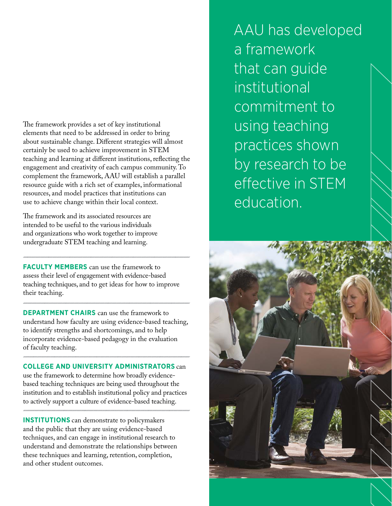The framework provides a set of key institutional elements that need to be addressed in order to bring about sustainable change. Different strategies will almost certainly be used to achieve improvement in STEM teaching and learning at different institutions, reflecting the engagement and creativity of each campus community. To complement the framework, AAU will establish a parallel resource guide with a rich set of examples, informational resources, and model practices that institutions can use to achieve change within their local context.

The framework and its associated resources are intended to be useful to the various individuals and organizations who work together to improve undergraduate STEM teaching and learning.

**FACULTY MEMBERS** can use the framework to assess their level of engagement with evidence-based teaching techniques, and to get ideas for how to improve their teaching.

**DEPARTMENT CHAIRS** can use the framework to understand how faculty are using evidence-based teaching, to identify strengths and shortcomings, and to help incorporate evidence-based pedagogy in the evaluation of faculty teaching.

**COLLEGE AND UNIVERSITY ADMINISTRATORS** can

use the framework to determine how broadly evidencebased teaching techniques are being used throughout the institution and to establish institutional policy and practices to actively support a culture of evidence-based teaching.

**INSTITUTIONS** can demonstrate to policymakers and the public that they are using evidence-based techniques, and can engage in institutional research to understand and demonstrate the relationships between these techniques and learning, retention, completion, and other student outcomes.

AAU has developed a framework that can guide institutional commitment to using teaching practices shown by research to be effective in STEM education.

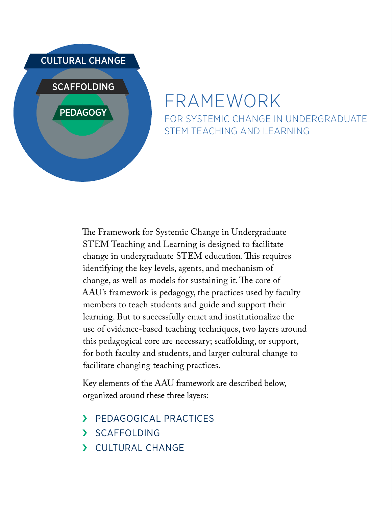

### FRAMEWORK FOR SYSTEMIC CHANGE IN UNDERGRADUATE STEM TEACHING AND LEARNING

The Framework for Systemic Change in Undergraduate STEM Teaching and Learning is designed to facilitate change in undergraduate STEM education. This requires identifying the key levels, agents, and mechanism of change, as well as models for sustaining it. The core of AAU's framework is pedagogy, the practices used by faculty members to teach students and guide and support their learning. But to successfully enact and institutionalize the use of evidence-based teaching techniques, two layers around this pedagogical core are necessary; scaffolding, or support, for both faculty and students, and larger cultural change to facilitate changing teaching practices.

Key elements of the AAU framework are described below, organized around these three layers:

- › [PEDAGOGICAL PRACTICES](#page-6-0)
- › [SCAFFOLDING](#page-7-0)
- › [CULTURAL CHANGE](#page-8-0)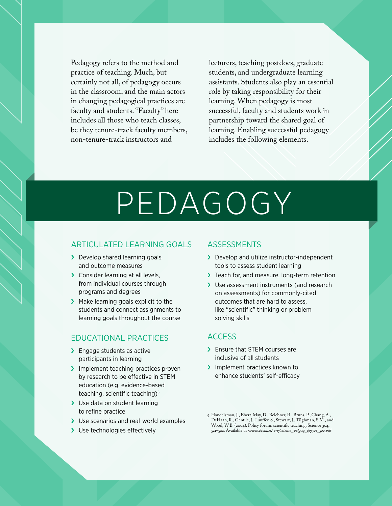<span id="page-6-0"></span>Pedagogy refers to the method and practice of teaching. Much, but certainly not all, of pedagogy occurs in the classroom, and the main actors in changing pedagogical practices are faculty and students. "Faculty" here includes all those who teach classes, be they tenure-track faculty members, non-tenure-track instructors and

lecturers, teaching postdocs, graduate students, and undergraduate learning assistants. Students also play an essential role by taking responsibility for their learning. When pedagogy is most successful, faculty and students work in partnership toward the shared goal of learning. Enabling successful pedagogy includes the following elements.

## PEDAGOGY

#### ARTICULATED LEARNING GOALS

- > Develop shared learning goals and outcome measures
- > Consider learning at all levels. from individual courses through programs and degrees
- › Make learning goals explicit to the students and connect assignments to learning goals throughout the course

### EDUCATIONAL PRACTICES

- > Engage students as active participants in learning
- > Implement teaching practices proven by research to be effective in STEM education (e.g. evidence-based teaching, scientific teaching)<sup>5</sup>
- > Use data on student learning to refine practice
- > Use scenarios and real-world examples
- > Use technologies effectively

### ASSESSMENTS

- > Develop and utilize instructor-independent tools to assess student learning
- > Teach for, and measure, long-term retention
- > Use assessment instruments (and research on assessments) for commonly-cited outcomes that are hard to assess, like "scientific" thinking or problem solving skills

### ACCESS

- › Ensure that STEM courses are inclusive of all students
- > Implement practices known to enhance students' self-efficacy

<sup>5</sup> Handelsman, J., Ebert-May, D., Beichner, R., Bruns, P., Chang, A., DeHaan, R., Gentile, J., Lauffer, S., Stewart, J., Tilghman, S.M., and Wood, W.B. (2004). Policy forum: scientific teaching. Science 304, 521–522. Available at *www.bioquest.org/science\_vol304\_pgs521\_522.pdf*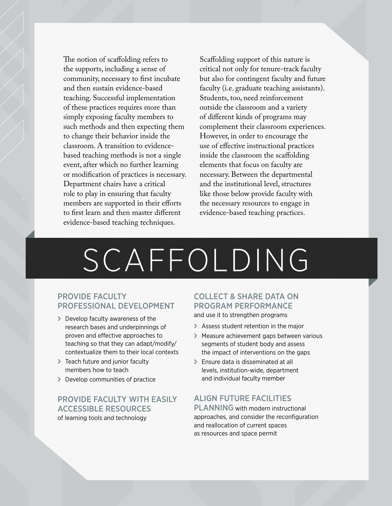<span id="page-7-0"></span>The notion of scaffolding refers to the supports, including a sense of community, necessary to first incubate and then sustain evidence-based teaching. Successful implementation of these practices requires more than simply exposing faculty members to such methods and then expecting them to change their behavior inside the classroom. A transition to evidencebased teaching methods is not a single event, after which no further learning or modification of practices is necessary. Department chairs have a critical role to play in ensuring that faculty members are supported in their efforts to first learn and then master different evidence-based teaching techniques.

Scaffolding support of this nature is critical not only for tenure-track faculty but also for contingent faculty and future faculty (i.e. graduate teaching assistants). Students, too, need reinforcement outside the classroom and a variety of different kinds of programs may complement their classroom experiences. However, in order to encourage the use of effective instructional practices inside the classroom the scaffolding elements that focus on faculty are necessary. Between the departmental and the institutional level, structures like those below provide faculty with the necessary resources to engage in evidence-based teaching practices.

# SCAFFOLDING

### PROVIDE FACULTY PROFESSIONAL DEVELOPMENT

- › Develop faculty awareness of the research bases and underpinnings of proven and effective approaches to teaching so that they can adapt/modify/ contextualize them to their local contexts
- > Teach future and junior faculty members how to teach
- › Develop communities of practice

### PROVIDE FACULTY WITH EASILY ACCESSIBLE RESOURCES

of learning tools and technology

### COLLECT & SHARE DATA ON PROGRAM PERFORMANCE and use it to strengthen programs

- > Assess student retention in the major
- › Measure achievement gaps between various segments of student body and assess the impact of interventions on the gaps
- > Ensure data is disseminated at all levels, institution-wide, department and individual faculty member

### ALIGN FUTURE FACILITIES

PLANNING with modern instructional approaches, and consider the reconfiguration and reallocation of current spaces as resources and space permit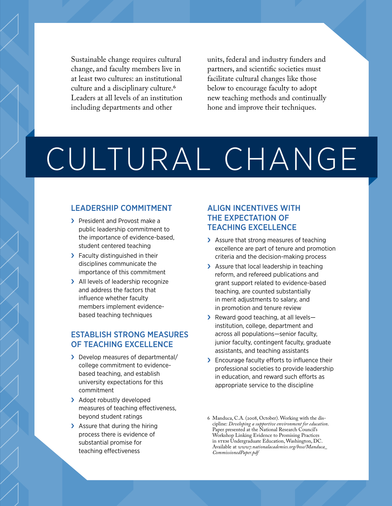<span id="page-8-0"></span>Sustainable change requires cultural change, and faculty members live in at least two cultures: an institutional culture and a disciplinary culture.6 Leaders at all levels of an institution including departments and other

units, federal and industry funders and partners, and scientific societies must facilitate cultural changes like those below to encourage faculty to adopt new teaching methods and continually hone and improve their techniques.

# CULTURAL CHANGE

### LEADERSHIP COMMITMENT

- > President and Provost make a public leadership commitment to the importance of evidence-based, student centered teaching
- > Faculty distinguished in their disciplines communicate the importance of this commitment
- > All levels of leadership recognize and address the factors that influence whether faculty members implement evidencebased teaching techniques

### ESTABLISH STRONG MEASURES OF TEACHING EXCELLENCE

- › Develop measures of departmental/ college commitment to evidencebased teaching, and establish university expectations for this commitment
- > Adopt robustly developed measures of teaching effectiveness, beyond student ratings
- > Assure that during the hiring process there is evidence of substantial promise for teaching effectiveness

### ALIGN INCENTIVES WITH THE EXPECTATION OF TEACHING EXCELLENCE

- > Assure that strong measures of teaching excellence are part of tenure and promotion criteria and the decision-making process
- > Assure that local leadership in teaching reform, and refereed publications and grant support related to evidence-based teaching, are counted substantially in merit adjustments to salary, and in promotion and tenure review
- > Reward good teaching, at all levelsinstitution, college, department and across all populations—senior faculty, junior faculty, contingent faculty, graduate assistants, and teaching assistants
- > Encourage faculty efforts to influence their professional societies to provide leadership in education, and reward such efforts as appropriate service to the discipline

<sup>6</sup> Manduca, C.A. (2008, October). Working with the discipline: *Developing a supportive environment for education*. Paper presented at the National Research Council's Workshop Linking Evidence to Promising Practices in STEM Undergraduate Education, Washington, DC. Available at *www7.nationalacademies.org/bose/Manduca\_ CommissionedPaper.pdf*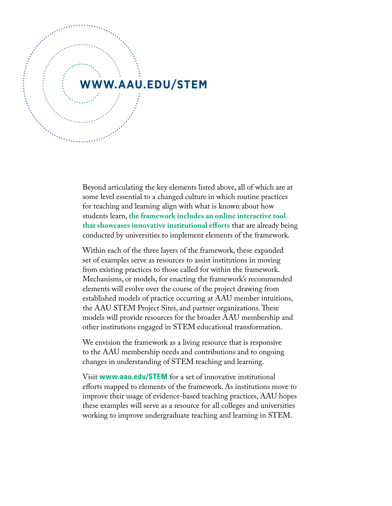

Beyond articulating the key elements listed above, all of which are at some level essential to a changed culture in which routine practices for teaching and learning align with what is known about how students learn, **the framework includes an online interactive tool that showcases innovative institutional efforts** that are already being conducted by universities to implement elements of the framework.

Within each of the three layers of the framework, these expanded set of examples serve as resources to assist institutions in moving from existing practices to those called for within the framework. Mechanisms, or models, for enacting the framework's recommended elements will evolve over the course of the project drawing from established models of practice occurring at AAU member intuitions, the AAU STEM Project Sites, and partner organizations. These models will provide resources for the broader AAU membership and other institutions engaged in STEM educational transformation.

We envision the framework as a living resource that is responsive to the AAU membership needs and contributions and to ongoing changes in understanding of STEM teaching and learning.

Visit **[www.aau.edu/STEM](http://www.aau.edu/STEM)** for a set of innovative institutional efforts mapped to elements of the framework. As institutions move to improve their usage of evidence-based teaching practices, AAU hopes these examples will serve as a resource for all colleges and universities working to improve undergraduate teaching and learning in STEM.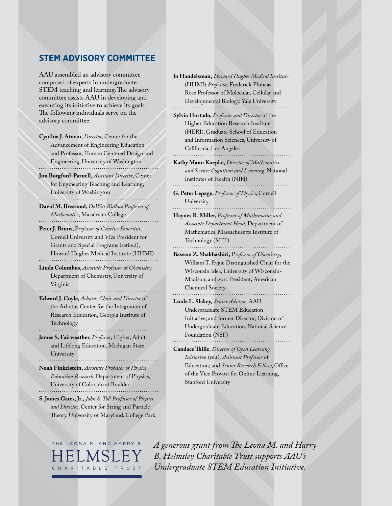### **STEM ADVISORY COMMITTEE**

AAU assembled an advisory committee composed of experts in undergraduate STEM teaching and learning. The advisory committee assists AAU in developing and executing its initiative to achieve its goals. The following individuals serve on the advisory committee:

**Cynthia J. Atman,** *Director*, Center for the Advancement of Engineering Education and Professor, Human Centered Design and Engineering, University of Washington

**Jim Borgford-Parnell,** *Assistant Director*, Center for Engineering Teaching and Learning, University of Washington

**David M. Bressoud,** *DeWitt Wallace Professor of Mathematics*, Macalester College

**Peter J. Bruns,** P*rofessor of Genetics Emeritus*, Cornell University and Vice President for Grants and Special Programs (retired), Howard Hughes Medical Institute (HHMI)

**Linda Columbus,** *Associate Professor of Chemistry,* Department of Chemistry, University of Virginia

**Edward J. Coyle,** *Arbutus Chair and Director* of the Arbutus Center for the Integration of Research Education, Georgia Institute of Technology

**James S. Fairweather,** *Professo*r, Higher, Adult and Lifelong Education, Michigan State University

**Noah Finkelstein,** *Associate Professor of Physics Education Research*, Department of Physics, University of Colorado at Boulder

**S. James Gates, Jr.,** *John S. Toll Professor of Physics and Director*, Center for String and Particle Theory, University of Maryland, College Park



**Jo Handelsman,** *Howard Hughes Medical Institute* (HHMI) *Professor,* Frederick Phineas Rose Professor of Molecular, Cellular and Developmental Biology, Yale University

**Sylvia Hurtado,** *Professor and Director* of the Higher Education Research Institute (HERI), Graduate School of Education and Information Sciences, University of California, Los Angeles

**Kathy Mann Koepke,** *Director of Mathematics and Science Cognition and Learning*, National Institutes of Health (NIH)

**G. Peter Lepage,** *Professor of Physics*, Cornell University

**Haynes R. Miller,** *Professor of Mathematics and Associate Department Head*, Department of Mathematics, Massachusetts Institute of Technology (MIT)

**Bassam Z. Shakhashiri,** P*rofessor of Chemistry,* William T. Evjue Distinguished Chair for the Wisconsin Idea, University of Wisconsin-Madison, and 2012 President, American Chemical Society

**Linda L. Slakey,** *Senior Advisor,* AAU Undergraduate STEM Education Initiative, and former Director, Division of Undergraduate Education, National Science Foundation (NSF)

**Candace Thille**, *Director of Open Learning Initiativ*e (OLI); *Assistant Professor* of Education; and *Senior Research Fellow*, Office of the Vice Provost for Online Learning, Stanford University

*A generous grant from The Leona M. and Harry B. Helmsley Charitable Trust supports AAU's Undergraduate STEM Education Initiative.*